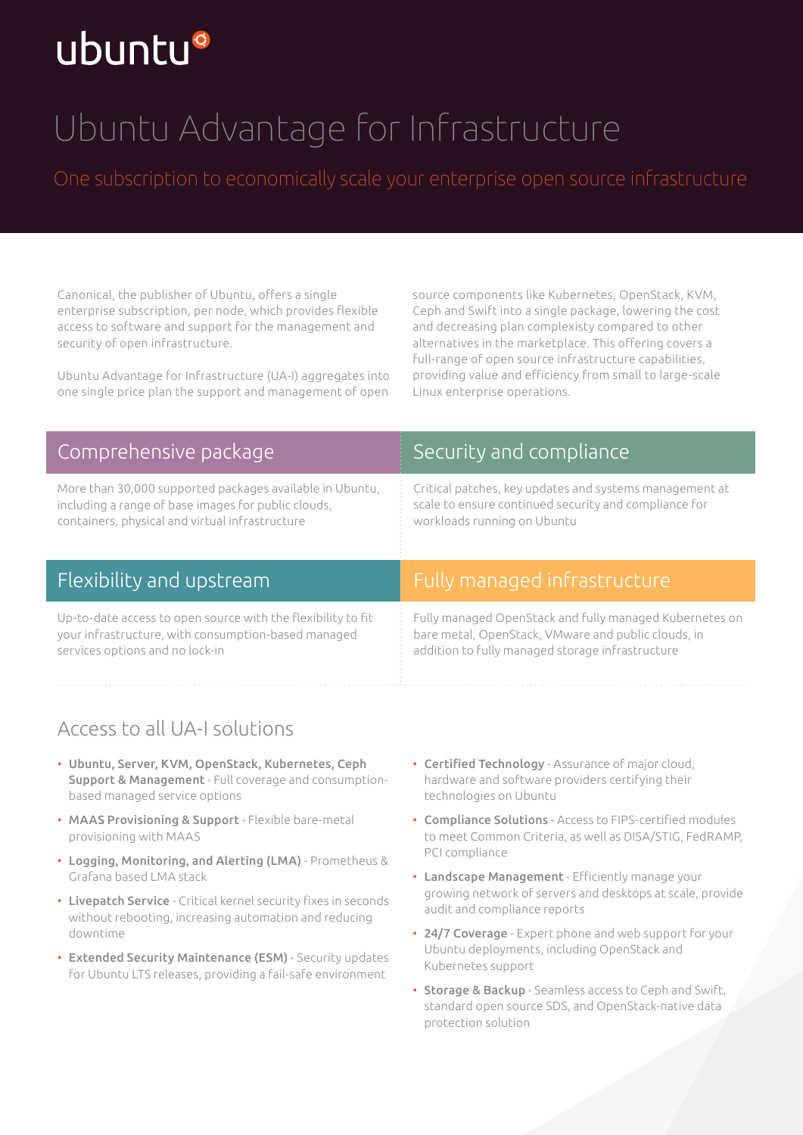# ubuntu®

# Ubuntu Advantage for Infrastructure

Canonical, the publisher of Ubuntu, offers a single enterprise subscription, per node, which provides flexible access to software and support for the management and security of open infrastructure.

Ubuntu Advantage for Infrastructure (UA-I) aggregates into one single price plan the support and management of open

source components like Kubernetes, OpenStack, KVM, Ceph and Swift into a single package, lowering the cost and decreasing plan complexisty compared to other alternatives in the marketplace. This offering covers a full-range of open source infrastructure capabilities, providing value and efficiency from small to large-scale Linux enterprise operations.

| Comprehensive package                                                                                                                                              | Security and compliance                                                                                                                         |
|--------------------------------------------------------------------------------------------------------------------------------------------------------------------|-------------------------------------------------------------------------------------------------------------------------------------------------|
| More than 30,000 supported packages available in Ubuntu,<br>including a range of base images for public clouds,<br>containers, physical and virtual infrastructure | Critical patches, key updates and systems management at<br>scale to ensure continued security and compliance for<br>workloads running on Ubuntu |
| Flexibility and upstream                                                                                                                                           | Fully managed infrastructure                                                                                                                    |

Up-to-date access to open source with the flexibility to fit your infrastructure, with consumption-based managed services options and no lock-in

#### Fully managed infrastructure

Fully managed OpenStack and fully managed Kubernetes on bare metal, OpenStack, VMware and public clouds, in addition to fully managed storage infrastructure

## Access to all UA-I solutions

- Ubuntu, Server, KVM, OpenStack, Kubernetes, Ceph Support & Management - Full coverage and consumptionbased managed service options
- MAAS Provisioning & Support Flexible bare-metal provisioning with MAAS
- Logging, Monitoring, and Alerting (LMA) Prometheus & Grafana based LMA stack
- Livepatch Service Critical kernel security fixes in seconds without rebooting, increasing automation and reducing downtime
- Extended Security Maintenance (ESM) Security updates for Ubuntu LTS releases, providing a fail-safe environment
- Certified Technology Assurance of major cloud, hardware and software providers certifying their technologies on Ubuntu
- Compliance Solutions Access to FIPS-certified modules to meet Common Criteria, as well as DISA/STIG, FedRAMP, PCI compliance
- Landscape Management Efficiently manage your growing network of servers and desktops at scale, provide audit and compliance reports
- 24/7 Coverage Expert phone and web support for your Ubuntu deployments, including OpenStack and Kubernetes support
- Storage & Backup Seamless access to Ceph and Swift, standard open source SDS, and OpenStack-native data protection solution